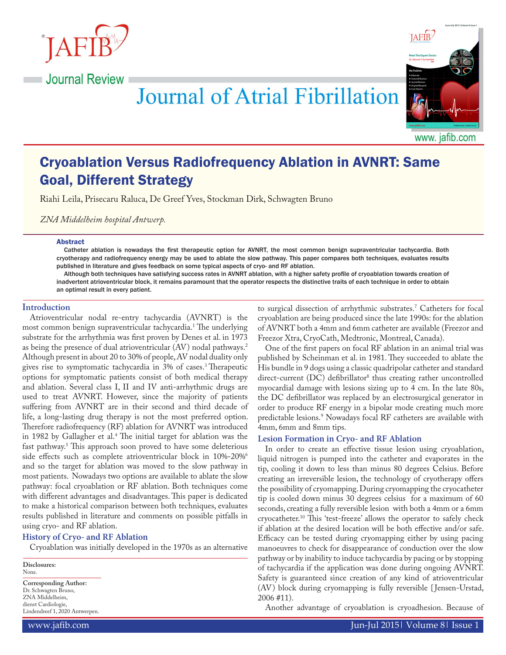



# **Journal of Atrial Fibrillation**

www. jafib.com

# Cryoablation Versus Radiofrequency Ablation in AVNRT: Same Goal, Different Strategy

Riahi Leila, Prisecaru Raluca, De Greef Yves, Stockman Dirk, Schwagten Bruno

*ZNA Middelheim hospital Antwerp.*

#### Abstract

Catheter ablation is nowadays the first therapeutic option for AVNRT, the most common benign supraventricular tachycardia. Both cryotherapy and radiofrequency energy may be used to ablate the slow pathway. This paper compares both techniques, evaluates results published in literature and gives feedback on some typical aspects of cryo- and RF ablation.

Although both techniques have satisfying success rates in AVNRT ablation, with a higher safety profile of cryoablation towards creation of inadvertent atrioventricular block, it remains paramount that the operator respects the distinctive traits of each technique in order to obtain an optimal result in every patient.

#### **Introduction**

Atrioventricular nodal re-entry tachycardia (AVNRT) is the most common benign supraventricular tachycardia.1 The underlying substrate for the arrhythmia was first proven by Denes et al. in 1973 as being the presence of dual atrioventricular (AV) nodal pathways.2 Although present in about 20 to 30% of people, AV nodal duality only gives rise to symptomatic tachycardia in 3% of cases.3 Therapeutic options for symptomatic patients consist of both medical therapy and ablation. Several class I, II and IV anti-arrhythmic drugs are used to treat AVNRT. However, since the majority of patients suffering from AVNRT are in their second and third decade of life, a long-lasting drug therapy is not the most preferred option. Therefore radiofrequency (RF) ablation for AVNRT was introduced in 1982 by Gallagher et al.4 The initial target for ablation was the fast pathway.5 This approach soon proved to have some deleterious side effects such as complete atrioventricular block in 10%-20%<sup>6</sup> and so the target for ablation was moved to the slow pathway in most patients. Nowadays two options are available to ablate the slow pathway: focal cryoablation or RF ablation. Both techniques come with different advantages and disadvantages. This paper is dedicated to make a historical comparison between both techniques, evaluates results published in literature and comments on possible pitfalls in using cryo- and RF ablation.

#### **History of Cryo- and RF Ablation**

Cryoablation was initially developed in the 1970s as an alternative

**Disclosures:** None.

**Corresponding Author:** Dr. Schwagten Bruno, ZNA Middelheim, dienst Cardiologie, Lindendreef 1, 2020 Antwerpen. to surgical dissection of arrhythmic substrates.7 Catheters for focal cryoablation are being produced since the late 1990s: for the ablation of AVNRT both a 4mm and 6mm catheter are available (Freezor and Freezor Xtra, CryoCath, Medtronic, Montreal, Canada).

One of the first papers on focal RF ablation in an animal trial was published by Scheinman et al. in 1981. They succeeded to ablate the His bundle in 9 dogs using a classic quadripolar catheter and standard direct-current (DC) defibrillator<sup>8</sup> thus creating rather uncontrolled myocardial damage with lesions sizing up to 4 cm. In the late 80s, the DC defibrillator was replaced by an electrosurgical generator in order to produce RF energy in a bipolar mode creating much more predictable lesions.9 Nowadays focal RF catheters are available with 4mm, 6mm and 8mm tips.

#### **Lesion Formation in Cryo- and RF Ablation**

In order to create an effective tissue lesion using cryoablation, liquid nitrogen is pumped into the catheter and evaporates in the tip, cooling it down to less than minus 80 degrees Celsius. Before creating an irreversible lesion, the technology of cryotherapy offers the possibility of cryomapping. During cryomapping the cryocatheter tip is cooled down minus 30 degrees celsius for a maximum of 60 seconds, creating a fully reversible lesion with both a 4mm or a 6mm cryocatheter.10 This 'test-freeze' allows the operator to safely check if ablation at the desired location will be both effective and/or safe. Efficacy can be tested during cryomapping either by using pacing manoeuvres to check for disappearance of conduction over the slow pathway or by inability to induce tachycardia by pacing or by stopping of tachycardia if the application was done during ongoing AVNRT. Safety is guaranteed since creation of any kind of atrioventricular (AV) block during cryomapping is fully reversible { Jensen-Urstad, 2006 #11).

Another advantage of cryoablation is cryoadhesion. Because of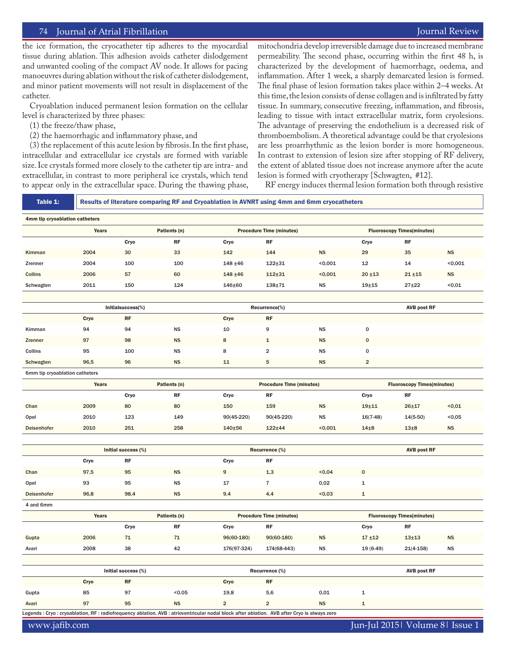the ice formation, the cryocatheter tip adheres to the myocardial tissue during ablation. This adhesion avoids catheter dislodgement and unwanted cooling of the compact AV node. It allows for pacing manoeuvres during ablation without the risk of catheter dislodgement, and minor patient movements will not result in displacement of the catheter.

Cryoablation induced permanent lesion formation on the cellular level is characterized by three phases:

- (1) the freeze/thaw phase,
- (2) the haemorrhagic and inflammatory phase, and

(3) the replacement of this acute lesion by fibrosis. In the first phase, intracellular and extracellular ice crystals are formed with variable size. Ice crystals formed more closely to the catheter tip are intra- and extracellular, in contrast to more peripheral ice crystals, which tend to appear only in the extracellular space. During the thawing phase,

mitochondria develop irreversible damage due to increased membrane permeability. The second phase, occurring within the first 48 h, is characterized by the development of haemorrhage, oedema, and inflammation. After 1 week, a sharply demarcated lesion is formed. The final phase of lesion formation takes place within 2–4 weeks. At this time, the lesion consists of dense collagen and is infiltrated by fatty tissue. In summary, consecutive freezing, inflammation, and fibrosis, leading to tissue with intact extracellular matrix, form cryolesions. The advantage of preserving the endothelium is a decreased risk of thromboembolism. A theoretical advantage could be that cryolesions are less proarrhythmic as the lesion border is more homogeneous. In contrast to extension of lesion size after stopping of RF delivery, the extent of ablated tissue does not increase anymore after the acute lesion is formed with cryotherapy {Schwagten, #12}.

RF energy induces thermal lesion formation both through resistive

| Table 1:                                                                                                                                      | Results of literature comparing RF and Cryoablation in AVNRT using 4mm and 6mm cryocatheters |                                   |                |                                 |                                 |                                   |                                   |                                   |                 |  |
|-----------------------------------------------------------------------------------------------------------------------------------------------|----------------------------------------------------------------------------------------------|-----------------------------------|----------------|---------------------------------|---------------------------------|-----------------------------------|-----------------------------------|-----------------------------------|-----------------|--|
| 4mm tip cryoablation catheters                                                                                                                |                                                                                              |                                   |                |                                 |                                 |                                   |                                   |                                   |                 |  |
|                                                                                                                                               | Years                                                                                        |                                   | Patients (n)   | <b>Procedure Time (minutes)</b> |                                 |                                   |                                   | <b>Fluoroscopy Times(minutes)</b> |                 |  |
|                                                                                                                                               |                                                                                              | Cryo                              | <b>RF</b>      | Cryo                            | <b>RF</b>                       |                                   | Cryo                              | <b>RF</b>                         |                 |  |
| Kimman                                                                                                                                        | 2004                                                                                         | 30                                | 33             | 142                             | 144                             | <b>NS</b>                         | 29                                | 35                                | <b>NS</b>       |  |
| Zrenner                                                                                                                                       | 2004                                                                                         | 100                               | 100            | $148 + 46$                      | $122 + 31$                      | < 0,001                           | 12                                | 14                                | < 0.001         |  |
| Collins                                                                                                                                       | 2006                                                                                         | 57                                | 60             | 148 ±46                         | $112 + 31$                      | < 0,001                           | $20 + 13$                         | $21 + 15$                         | <b>NS</b>       |  |
| Schwagten                                                                                                                                     | 2011                                                                                         | 150                               | 124            | 146±60                          | $138 + 71$                      | $_{\rm NS}$                       | $19\pm 15$                        | $27 + 22$                         | < 0.01          |  |
|                                                                                                                                               |                                                                                              |                                   |                |                                 |                                 |                                   |                                   |                                   |                 |  |
|                                                                                                                                               | Initialsuccess(%)                                                                            |                                   |                | Recurrence(%)                   |                                 |                                   | <b>AVB post RF</b>                |                                   |                 |  |
|                                                                                                                                               | Cryo                                                                                         | $\ensuremath{\mathsf{RF}}\xspace$ |                | Cryo                            | RF                              |                                   |                                   |                                   |                 |  |
| Kimman                                                                                                                                        | 94                                                                                           | 94                                | <b>NS</b>      | 10                              | 9                               | <b>NS</b>                         | $\mathbf 0$                       |                                   |                 |  |
| Zrenner                                                                                                                                       | 97                                                                                           | 98                                | <b>NS</b>      | 8                               | 1                               | <b>NS</b>                         | $\pmb{0}$                         |                                   |                 |  |
| Collins                                                                                                                                       | 95                                                                                           | 100                               | <b>NS</b>      | 8                               | $\overline{\mathbf{2}}$         | <b>NS</b>                         | $\mathbf 0$                       |                                   |                 |  |
| Schwagten                                                                                                                                     | 96,5                                                                                         | 96                                | <b>NS</b>      | 11                              | 5                               | <b>NS</b>                         | $\overline{2}$                    |                                   |                 |  |
| 6mm tip cryoablation catheters                                                                                                                |                                                                                              |                                   |                |                                 |                                 |                                   |                                   |                                   |                 |  |
|                                                                                                                                               | Years                                                                                        |                                   | Patients (n)   |                                 | <b>Procedure Time (minutes)</b> |                                   | <b>Fluoroscopy Times(minutes)</b> |                                   |                 |  |
|                                                                                                                                               |                                                                                              | Cryo                              | <b>RF</b>      | Cryo                            | <b>RF</b>                       |                                   | Cryo                              | <b>RF</b>                         |                 |  |
| Chan                                                                                                                                          | 2009                                                                                         | 80                                | 80             | 150                             | 159                             | <b>NS</b>                         | $19 + 11$                         | $26 + 17$                         | 0.01            |  |
| Opel                                                                                                                                          | 2010                                                                                         | 123                               | 149            | 90(45-220)                      | $90(45-220)$                    | <b>NS</b>                         | $16(7-48)$                        | $14(5-50)$                        | $0,05$          |  |
| Deisenhofer                                                                                                                                   | 2010                                                                                         | 251                               | 258            | 140±56                          | 122±44                          | < 0,001                           | $14\pm8$                          | $13\pm8$                          | <b>NS</b>       |  |
|                                                                                                                                               |                                                                                              |                                   |                |                                 |                                 |                                   |                                   |                                   |                 |  |
|                                                                                                                                               | Initial success (%)                                                                          |                                   | Recurrence (%) |                                 |                                 |                                   | <b>AVB post RF</b>                |                                   |                 |  |
|                                                                                                                                               | Cryo                                                                                         | RF                                |                | Cryo                            | <b>RF</b>                       |                                   |                                   |                                   |                 |  |
| Chan                                                                                                                                          | 97,5                                                                                         | 95                                | <b>NS</b>      | $9$                             | 1,3                             | < 0,04                            | $\pmb{0}$                         |                                   |                 |  |
| Opel                                                                                                                                          | 93                                                                                           | 95                                | <b>NS</b>      | 17                              | $\overline{7}$                  | 0,02                              | 1                                 |                                   |                 |  |
| Deisenhofer                                                                                                                                   | 96,8                                                                                         | 98,4                              | <b>NS</b>      | 9,4                             | 4,4                             | < 0,03                            | $\mathbf 1$                       |                                   |                 |  |
| 4 and 6mm                                                                                                                                     |                                                                                              |                                   |                |                                 |                                 |                                   |                                   |                                   |                 |  |
|                                                                                                                                               | Years                                                                                        |                                   | Patients (n)   | <b>Procedure Time (minutes)</b> |                                 | <b>Fluoroscopy Times(minutes)</b> |                                   |                                   |                 |  |
|                                                                                                                                               |                                                                                              | Cryo                              | <b>RF</b>      | Cryo                            | <b>RF</b>                       |                                   | Cryo                              | <b>RF</b>                         |                 |  |
| Gupta                                                                                                                                         | 2006<br>2008                                                                                 | $71$                              | $71\,$         | 96(60-180)                      | $90(60-180)$                    | <b>NS</b>                         | $17 + 12$                         | $13\pm13$                         | NS<br><b>NS</b> |  |
| Avari                                                                                                                                         |                                                                                              | 38                                | 42             | 176(97-324)                     | 174(68-443)                     | <b>NS</b>                         | $19(6-49)$                        | $21(4-158)$                       |                 |  |
|                                                                                                                                               | Initial success (%)                                                                          |                                   |                |                                 | Recurrence (%)                  | <b>AVB post RF</b>                |                                   |                                   |                 |  |
|                                                                                                                                               | Cryo                                                                                         | RF                                |                | Cryo                            | <b>RF</b>                       |                                   |                                   |                                   |                 |  |
| Gupta                                                                                                                                         | 85                                                                                           | 97                                | < 0.05         | 19,8                            | 5,6                             | 0,01                              | $\mathbf 1$                       |                                   |                 |  |
| Avari                                                                                                                                         | 97                                                                                           | 95                                | <b>NS</b>      | $\overline{\mathbf{c}}$         | $\mathbf 2$                     | NS                                | $\mathbf{1}$                      |                                   |                 |  |
| Legends : Cryo : cryoablation, RF : radiofrequency ablation. AVB : atrioventricular nodal block after ablation. AVB after Cryo is always zero |                                                                                              |                                   |                |                                 |                                 |                                   |                                   |                                   |                 |  |
|                                                                                                                                               |                                                                                              |                                   |                |                                 |                                 |                                   |                                   |                                   |                 |  |

www.jafib.com Jun-Jul 2015| Volume 8| Issue 1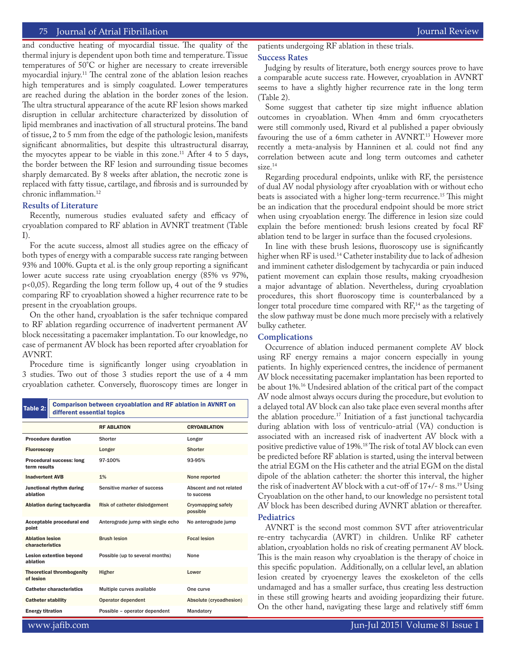and conductive heating of myocardial tissue. The quality of the thermal injury is dependent upon both time and temperature. Tissue temperatures of 50°C or higher are necessary to create irreversible myocardial injury.11 The central zone of the ablation lesion reaches high temperatures and is simply coagulated. Lower temperatures are reached during the ablation in the border zones of the lesion. The ultra structural appearance of the acute RF lesion shows marked disruption in cellular architecture characterized by dissolution of lipid membranes and inactivation of all structural proteins. The band of tissue, 2 to 5 mm from the edge of the pathologic lesion, manifests significant abnormalities, but despite this ultrastructural disarray, the myocytes appear to be viable in this zone.<sup>11</sup> After 4 to 5 days,

the border between the RF lesion and surrounding tissue becomes sharply demarcated. By 8 weeks after ablation, the necrotic zone is replaced with fatty tissue, cartilage, and fibrosis and is surrounded by chronic inflammation.12

# **Results of Literature**

Recently, numerous studies evaluated safety and efficacy of cryoablation compared to RF ablation in AVNRT treatment (Table I).

For the acute success, almost all studies agree on the efficacy of both types of energy with a comparable success rate ranging between 93% and 100%. Gupta et al. is the only group reporting a significant lower acute success rate using cryoablation energy (85% vs 97%, p<0,05). Regarding the long term follow up, 4 out of the 9 studies comparing RF to cryoablation showed a higher recurrence rate to be present in the cryoablation groups.

On the other hand, cryoablation is the safer technique compared to RF ablation regarding occurrence of inadvertent permanent AV block necessitating a pacemaker implantation. To our knowledge, no case of permanent AV block has been reported after cryoablation for AVNRT.

Procedure time is significantly longer using cryoablation in 3 studies. Two out of those 3 studies report the use of a 4 mm cryoablation catheter. Conversely, fluoroscopy times are longer in

| Table 2:                                        | <b>Comparison between cryoablation and RF ablation in AVNRT on</b><br>different essential topics |                                   |                                       |  |  |  |  |
|-------------------------------------------------|--------------------------------------------------------------------------------------------------|-----------------------------------|---------------------------------------|--|--|--|--|
|                                                 |                                                                                                  | <b>RF ABLATION</b>                | <b>CRYOABLATION</b>                   |  |  |  |  |
| <b>Procedure duration</b>                       |                                                                                                  | Shorter                           | Longer                                |  |  |  |  |
| <b>Fluoroscopy</b>                              |                                                                                                  | Longer                            | Shorter                               |  |  |  |  |
| <b>Procedural success: long</b><br>term results |                                                                                                  | 97-100%                           | 93-95%                                |  |  |  |  |
| <b>Inadvertent AVB</b>                          |                                                                                                  | 1%                                | None reported                         |  |  |  |  |
| Junctional rhythm during<br>ablation            |                                                                                                  | Sensitive marker of success       | Abscent and not related<br>to success |  |  |  |  |
| Ablation during tachycardia                     |                                                                                                  | Risk of catheter dislodgement     | <b>Cryomapping safely</b><br>possible |  |  |  |  |
| Acceptable procedural end<br>point              |                                                                                                  | Anterograde jump with single echo | No anterograde jump                   |  |  |  |  |
| <b>Ablation lesion</b><br>characteristics       |                                                                                                  | <b>Brush lesion</b>               | <b>Focal lesion</b>                   |  |  |  |  |
| <b>Lesion extention beyond</b><br>ablation      |                                                                                                  | Possible (up to several months)   | None                                  |  |  |  |  |
| <b>Theoretical thrombogenity</b><br>of lesion   |                                                                                                  | Higher                            | Lower                                 |  |  |  |  |
| <b>Catheter characteristics</b>                 |                                                                                                  | Multiple curves available         | One curve                             |  |  |  |  |
| <b>Catheter stability</b>                       |                                                                                                  | Operator dependent                | Absolute (cryoadhesion)               |  |  |  |  |
| <b>Energy titration</b>                         |                                                                                                  | Possible - operator dependent     | Mandatory                             |  |  |  |  |

patients undergoing RF ablation in these trials.

# **Success Rates**

Judging by results of literature, both energy sources prove to have a comparable acute success rate. However, cryoablation in AVNRT seems to have a slightly higher recurrence rate in the long term (Table 2).

Some suggest that catheter tip size might influence ablation outcomes in cryoablation. When 4mm and 6mm cryocatheters were still commonly used, Rivard et al published a paper obviously favouring the use of a 6mm catheter in AVNRT.<sup>13</sup> However more recently a meta-analysis by Hanninen et al. could not find any correlation between acute and long term outcomes and catheter size.<sup>14</sup>

Regarding procedural endpoints, unlike with RF, the persistence of dual AV nodal physiology after cryoablation with or without echo beats is associated with a higher long-term recurrence.15 This might be an indication that the procedural endpoint should be more strict when using cryoablation energy. The difference in lesion size could explain the before mentioned: brush lesions created by focal RF ablation tend to be larger in surface than the focused cryolesions.

In line with these brush lesions, fluoroscopy use is significantly higher when RF is used.<sup>14</sup> Catheter instability due to lack of adhesion and imminent catheter dislodgement by tachycardia or pain induced patient movement can explain those results, making cryoadhesion a major advantage of ablation. Nevertheless, during cryoablation procedures, this short fluoroscopy time is counterbalanced by a longer total procedure time compared with  $RF<sub>14</sub>$  as the targeting of the slow pathway must be done much more precisely with a relatively bulky catheter.

## **Complications**

Occurrence of ablation induced permanent complete AV block using RF energy remains a major concern especially in young patients. In highly experienced centres, the incidence of permanent AV block necessitating pacemaker implantation has been reported to be about 1%.16 Undesired ablation of the critical part of the compact AV node almost always occurs during the procedure, but evolution to a delayed total AV block can also take place even several months after the ablation procedure.17 Initiation of a fast junctional tachycardia during ablation with loss of ventriculo-atrial (VA) conduction is associated with an increased risk of inadvertent AV block with a positive predictive value of 19%.18 The risk of total AV block can even be predicted before RF ablation is started, using the interval between the atrial EGM on the His catheter and the atrial EGM on the distal dipole of the ablation catheter: the shorter this interval, the higher the risk of inadvertent AV block with a cut-off of  $17+\frac{1}{2}$  ms.<sup>19</sup> Using Cryoablation on the other hand, to our knowledge no persistent total AV block has been described during AVNRT ablation or thereafter. **Pediatrics**

# AVNRT is the second most common SVT after atrioventricular re-entry tachycardia (AVRT) in children. Unlike RF catheter ablation, cryoablation holds no risk of creating permanent AV block. This is the main reason why cryoablation is the therapy of choice in this specific population. Additionally, on a cellular level, an ablation lesion created by cryoenergy leaves the exoskeleton of the cells undamaged and has a smaller surface, thus creating less destruction in these still growing hearts and avoiding jeopardizing their future. On the other hand, navigating these large and relatively stiff 6mm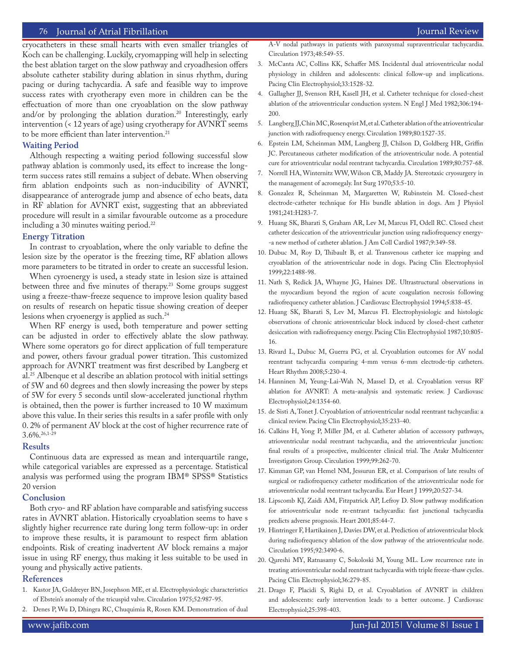cryocatheters in these small hearts with even smaller triangles of Koch can be challenging. Luckily, cryomapping will help in selecting the best ablation target on the slow pathway and cryoadhesion offers absolute catheter stability during ablation in sinus rhythm, during pacing or during tachycardia. A safe and feasible way to improve success rates with cryotherapy even more in children can be the effectuation of more than one cryoablation on the slow pathway and/or by prolonging the ablation duration.<sup>20</sup> Interestingly, early intervention (< 12 years of age) using cryotherapy for AVNRT seems to be more efficient than later intervention.<sup>21</sup>

### **Waiting Period**

Although respecting a waiting period following successful slow pathway ablation is commonly used, its effect to increase the longterm success rates still remains a subject of debate. When observing firm ablation endpoints such as non-inducibility of AVNRT, disappearance of anterograde jump and absence of echo beats, data in RF ablation for AVNRT exist, suggesting that an abbreviated procedure will result in a similar favourable outcome as a procedure including a 30 minutes waiting period.<sup>22</sup>

#### **Energy Titration**

In contrast to cryoablation, where the only variable to define the lesion size by the operator is the freezing time, RF ablation allows more parameters to be titrated in order to create an successful lesion.

When cyroenergy is used, a steady state in lesion size is attained between three and five minutes of therapy.<sup>23</sup> Some groups suggest using a freeze-thaw-freeze sequence to improve lesion quality based on results of research on hepatic tissue showing creation of deeper lesions when cryoenergy is applied as such.<sup>24</sup>

When RF energy is used, both temperature and power setting can be adjusted in order to effectively ablate the slow pathway. Where some operators go for direct application of full temperature and power, others favour gradual power titration. This customized approach for AVNRT treatment was first described by Langberg et al.25 Albenque et al describe an ablation protocol with initial settings of 5W and 60 degrees and then slowly increasing the power by steps of 5W for every 5 seconds until slow-accelerated junctional rhythm is obtained, then the power is further increased to 10 W maximum above this value. In their series this results in a safer profile with only 0. 2% of permanent AV block at the cost of higher recurrence rate of 3.6%.26,1-29

#### **Results**

Continuous data are expressed as mean and interquartile range, while categorical variables are expressed as a percentage. Statistical analysis was performed using the program IBM® SPSS® Statistics 20 version

#### **Conclusion**

Both cryo- and RF ablation have comparable and satisfying success rates in AVNRT ablation. Historically cryoablation seems to have s slightly higher recurrence rate during long term follow-up: in order to improve these results, it is paramount to respect firm ablation endpoints. Risk of creating inadvertent AV block remains a major issue in using RF energy, thus making it less suitable to be used in young and physically active patients.

#### **References**

- 1. Kastor JA, Goldreyer BN, Josephson ME, et al. Electrophysiologic characteristics of Ebstein's anomaly of the tricuspid valve. Circulation 1975;52:987-95.
- 2. Denes P, Wu D, Dhingra RC, Chuquimia R, Rosen KM. Demonstration of dual
- 3. McCanta AC, Collins KK, Schaffer MS. Incidental dual atrioventricular nodal physiology in children and adolescents: clinical follow-up and implications. Pacing Clin Electrophysiol;33:1528-32.
- 4. Gallagher JJ, Svenson RH, Kasell JH, et al. Catheter technique for closed-chest ablation of the atrioventricular conduction system. N Engl J Med 1982;306:194- 200.
- 5. Langberg JJ, Chin MC, Rosenqvist M, et al. Catheter ablation of the atrioventricular junction with radiofrequency energy. Circulation 1989;80:1527-35.
- 6. Epstein LM, Scheinman MM, Langberg JJ, Chilson D, Goldberg HR, Griffin JC. Percutaneous catheter modification of the atrioventricular node. A potential cure for atrioventricular nodal reentrant tachycardia. Circulation 1989;80:757-68.
- 7. Norrell HA, Winternitz WW, Wilson CB, Maddy JA. Stereotaxic cryosurgery in the management of acromegaly. Int Surg 1970;53:5-10.
- 8. Gonzalez R, Scheinman M, Margaretten W, Rubinstein M. Closed-chest electrode-catheter technique for His bundle ablation in dogs. Am J Physiol 1981;241:H283-7.
- 9. Huang SK, Bharati S, Graham AR, Lev M, Marcus FI, Odell RC. Closed chest catheter desiccation of the atrioventricular junction using radiofrequency energy- -a new method of catheter ablation. J Am Coll Cardiol 1987;9:349-58.
- 10. Dubuc M, Roy D, Thibault B, et al. Transvenous catheter ice mapping and cryoablation of the atrioventricular node in dogs. Pacing Clin Electrophysiol 1999;22:1488-98.
- 11. Nath S, Redick JA, Whayne JG, Haines DE. Ultrastructural observations in the myocardium beyond the region of acute coagulation necrosis following radiofrequency catheter ablation. J Cardiovasc Electrophysiol 1994;5:838-45.
- 12. Huang SK, Bharati S, Lev M, Marcus FI. Electrophysiologic and histologic observations of chronic atrioventricular block induced by closed-chest catheter desiccation with radiofrequency energy. Pacing Clin Electrophysiol 1987;10:805- 16.
- 13. Rivard L, Dubuc M, Guerra PG, et al. Cryoablation outcomes for AV nodal reentrant tachycardia comparing 4-mm versus 6-mm electrode-tip catheters. Heart Rhythm 2008;5:230-4.
- 14. Hanninen M, Yeung-Lai-Wah N, Massel D, et al. Cryoablation versus RF ablation for AVNRT: A meta-analysis and systematic review. J Cardiovasc Electrophysiol;24:1354-60.
- 15. de Sisti A, Tonet J. Cryoablation of atrioventricular nodal reentrant tachycardia: a clinical review. Pacing Clin Electrophysiol;35:233-40.
- 16. Calkins H, Yong P, Miller JM, et al. Catheter ablation of accessory pathways, atrioventricular nodal reentrant tachycardia, and the atrioventricular junction: final results of a prospective, multicenter clinical trial. The Atakr Multicenter Investigators Group. Circulation 1999;99:262-70.
- 17. Kimman GP, van Hemel NM, Jessurun ER, et al. Comparison of late results of surgical or radiofrequency catheter modification of the atrioventricular node for atrioventricular nodal reentrant tachycardia. Eur Heart J 1999;20:527-34.
- 18. Lipscomb KJ, Zaidi AM, Fitzpatrick AP, Lefroy D. Slow pathway modification for atrioventricular node re-entrant tachycardia: fast junctional tachycardia predicts adverse prognosis. Heart 2001;85:44-7.
- 19. Hintringer F, Hartikainen J, Davies DW, et al. Prediction of atrioventricular block during radiofrequency ablation of the slow pathway of the atrioventricular node. Circulation 1995;92:3490-6.
- 20. Qureshi MY, Ratnasamy C, Sokoloski M, Young ML. Low recurrence rate in treating atrioventricular nodal reentrant tachycardia with triple freeze-thaw cycles. Pacing Clin Electrophysiol;36:279-85.
- 21. Drago F, Placidi S, Righi D, et al. Cryoablation of AVNRT in children and adolescents: early intervention leads to a better outcome. J Cardiovasc Electrophysiol;25:398-403.